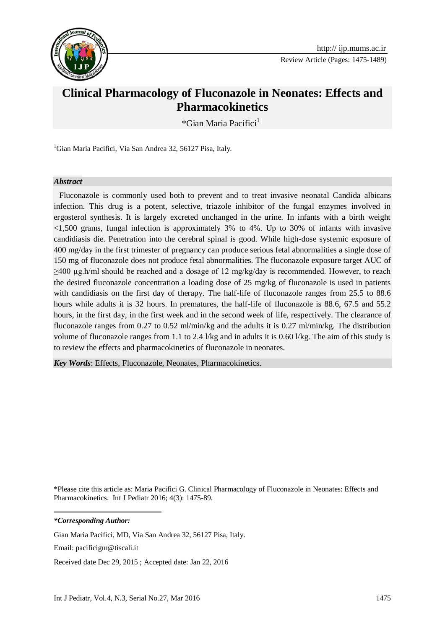

Review Article (Pages: 1475-1489)

# **Clinical Pharmacology of Fluconazole in Neonates: Effects and Pharmacokinetics**

\*Gian Maria Pacifici<sup>1</sup>

<sup>1</sup>Gian Maria Pacifici, Via San Andrea 32, 56127 Pisa, Italy.

#### *Abstract*

Fluconazole is commonly used both to prevent and to treat invasive neonatal Candida albicans infection. This drug is a potent, selective, triazole inhibitor of the fungal enzymes involved in ergosterol synthesis. It is largely excreted unchanged in the urine. In infants with a birth weight <1,500 grams, fungal infection is approximately 3% to 4%. Up to 30% of infants with invasive candidiasis die. Penetration into the cerebral spinal is good. While high-dose systemic exposure of 400 mg/day in the first trimester of pregnancy can produce serious fetal abnormalities a single dose of 150 mg of fluconazole does not produce fetal abnormalities. The fluconazole exposure target AUC of  $\geq$ 400 µg.h/ml should be reached and a dosage of 12 mg/kg/day is recommended. However, to reach the desired fluconazole concentration a loading dose of 25 mg/kg of fluconazole is used in patients with candidiasis on the first day of therapy. The half-life of fluconazole ranges from 25.5 to 88.6 hours while adults it is 32 hours. In prematures, the half-life of fluconazole is 88.6, 67.5 and 55.2 hours, in the first day, in the first week and in the second week of life, respectively. The clearance of fluconazole ranges from 0.27 to 0.52 ml/min/kg and the adults it is 0.27 ml/min/kg. The distribution volume of fluconazole ranges from 1.1 to 2.4 l/kg and in adults it is 0.60 l/kg. The aim of this study is to review the effects and pharmacokinetics of fluconazole in neonates.

*Key Words*: Effects, Fluconazole, Neonates, Pharmacokinetics.

\*Please cite this article as: Maria Pacifici G. Clinical Pharmacology of Fluconazole in Neonates: Effects and Pharmacokinetics. Int J Pediatr 2016; 4(3): 1475-89.

*\*Corresponding Author:*

1

Gian Maria Pacifici, MD, Via San Andrea 32, 56127 Pisa, Italy.

Email: pacificigm@tiscali.it

Received date Dec 29, 2015 ; Accepted date: Jan 22, 2016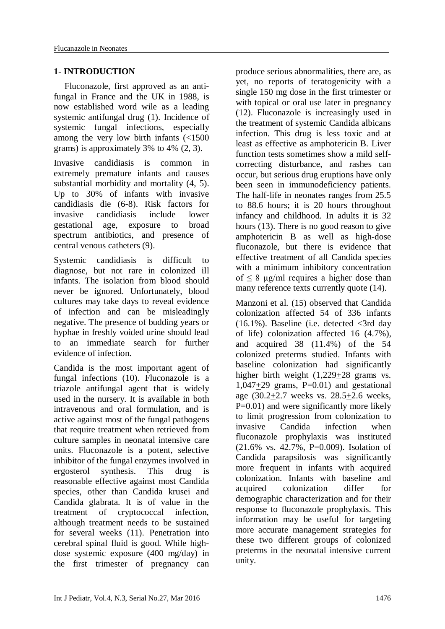#### **1- INTRODUCTION**

Fluconazole, first approved as an antifungal in France and the UK in 1988, is now established word wile as a leading systemic antifungal drug (1). Incidence of systemic fungal infections, especially among the very low birth infants (<1500 grams) is approximately 3% to 4% (2, 3).

Invasive candidiasis is common in extremely premature infants and causes substantial morbidity and mortality (4, 5). Up to 30% of infants with invasive candidiasis die (6-8). Risk factors for invasive candidiasis include lower gestational age, exposure to broad spectrum antibiotics, and presence of central venous catheters (9).

Systemic candidiasis is difficult to diagnose, but not rare in colonized ill infants. The isolation from blood should never be ignored. Unfortunately, blood cultures may take days to reveal evidence of infection and can be misleadingly negative. The presence of budding years or hyphae in freshly voided urine should lead to an immediate search for further evidence of infection.

Candida is the most important agent of fungal infections (10). Fluconazole is a triazole antifungal agent that is widely used in the nursery. It is available in both intravenous and oral formulation, and is active against most of the fungal pathogens that require treatment when retrieved from culture samples in neonatal intensive care units. Fluconazole is a potent, selective inhibitor of the fungal enzymes involved in ergosterol synthesis. This drug is reasonable effective against most Candida species, other than Candida krusei and Candida glabrata. It is of value in the treatment of cryptococcal infection, although treatment needs to be sustained for several weeks (11). Penetration into cerebral spinal fluid is good. While highdose systemic exposure (400 mg/day) in the first trimester of pregnancy can

produce serious abnormalities, there are, as yet, no reports of teratogenicity with a single 150 mg dose in the first trimester or with topical or oral use later in pregnancy (12). Fluconazole is increasingly used in the treatment of systemic Candida albicans infection. This drug is less toxic and at least as effective as amphotericin B. Liver function tests sometimes show a mild selfcorrecting disturbance, and rashes can occur, but serious drug eruptions have only been seen in immunodeficiency patients. The half-life in neonates ranges from 25.5 to 88.6 hours; it is 20 hours throughout infancy and childhood. In adults it is 32 hours (13). There is no good reason to give amphotericin B as well as high-dose fluconazole, but there is evidence that effective treatment of all Candida species with a minimum inhibitory concentration of  $\leq 8$  µg/ml requires a higher dose than many reference texts currently quote  $(14)$ .

Manzoni et al. (15) observed that Candida colonization affected 54 of 336 infants (16.1%). Baseline (i.e. detected <3rd day of life) colonization affected 16 (4.7%), and acquired 38 (11.4%) of the 54 colonized preterms studied. Infants with baseline colonization had significantly higher birth weight (1,229+28 grams vs.  $1,047+29$  grams,  $P=0.01$  and gestational age (30.2+2.7 weeks vs. 28.5+2.6 weeks, P=0.01) and were significantly more likely to limit progression from colonization to invasive Candida infection when fluconazole prophylaxis was instituted (21.6% vs. 42.7%, P=0.009). Isolation of Candida parapsilosis was significantly more frequent in infants with acquired colonization. Infants with baseline and acquired colonization differ for demographic characterization and for their response to fluconazole prophylaxis. This information may be useful for targeting more accurate management strategies for these two different groups of colonized preterms in the neonatal intensive current unity.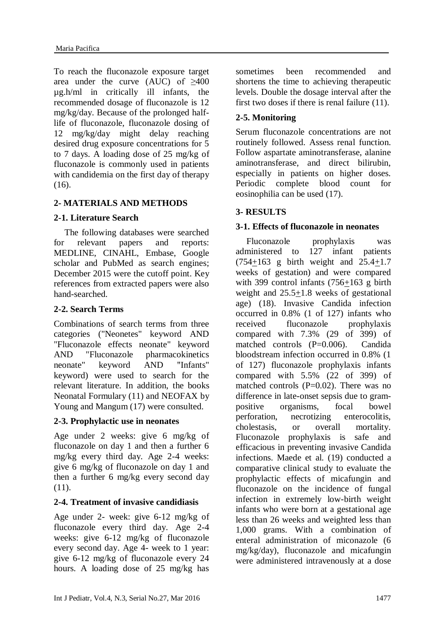To reach the fluconazole exposure target area under the curve (AUC) of ≥400 µg.h/ml in critically ill infants, the recommended dosage of fluconazole is 12 mg/kg/day. Because of the prolonged halflife of fluconazole, fluconazole dosing of 12 mg/kg/day might delay reaching desired drug exposure concentrations for 5 to 7 days. A loading dose of 25 mg/kg of fluconazole is commonly used in patients with candidemia on the first day of therapy (16).

# **2- MATERIALS AND METHODS**

# **2-1. Literature Search**

The following databases were searched for relevant papers and reports: MEDLINE, CINAHL, Embase, Google scholar and PubMed as search engines; December 2015 were the cutoff point. Key references from extracted papers were also hand-searched.

# **2-2. Search Terms**

Combinations of search terms from three categories ("Neonetes" keyword AND "Fluconazole effects neonate" keyword AND "Fluconazole pharmacokinetics neonate" keyword AND "Infants" keyword) were used to search for the relevant literature. In addition, the books Neonatal Formulary (11) and NEOFAX by Young and Mangum (17) were consulted.

#### **2-3. Prophylactic use in neonates**

Age under 2 weeks: give 6 mg/kg of fluconazole on day 1 and then a further 6 mg/kg every third day. Age 2-4 weeks: give 6 mg/kg of fluconazole on day 1 and then a further 6 mg/kg every second day  $(11)$ .

# **2-4. Treatment of invasive candidiasis**

Age under 2- week: give 6-12 mg/kg of fluconazole every third day. Age 2-4 weeks: give 6-12 mg/kg of fluconazole every second day. Age 4- week to 1 year: give 6-12 mg/kg of fluconazole every 24 hours. A loading dose of 25 mg/kg has sometimes been recommended and shortens the time to achieving therapeutic levels. Double the dosage interval after the first two doses if there is renal failure (11).

# **2-5. Monitoring**

Serum fluconazole concentrations are not routinely followed. Assess renal function. Follow aspartate aminotransferase, alanine aminotransferase, and direct bilirubin, especially in patients on higher doses. Periodic complete blood count for eosinophilia can be used (17).

# **3- RESULTS**

# **3-1. Effects of fluconazole in neonates**

Fluconazole prophylaxis was administered to 127 infant patients (754+163 g birth weight and 25.4+1.7 weeks of gestation) and were compared with 399 control infants  $(756+163)$  g birth weight and 25.5+1.8 weeks of gestational age) (18). Invasive Candida infection occurred in 0.8% (1 of 127) infants who received fluconazole prophylaxis compared with 7.3% (29 of 399) of matched controls (P=0.006). Candida bloodstream infection occurred in 0.8% (1 of 127) fluconazole prophylaxis infants compared with 5.5% (22 of 399) of matched controls  $(P=0.02)$ . There was no difference in late-onset sepsis due to grampositive organisms, focal bowel perforation, necrotizing enterocolitis, cholestasis, or overall mortality. Fluconazole prophylaxis is safe and efficacious in preventing invasive Candida infections. Maede et al. (19) conducted a comparative clinical study to evaluate the prophylactic effects of micafungin and fluconazole on the incidence of fungal infection in extremely low-birth weight infants who were born at a gestational age less than 26 weeks and weighted less than 1,000 grams. With a combination of enteral administration of miconazole (6 mg/kg/day), fluconazole and micafungin were administered intravenously at a dose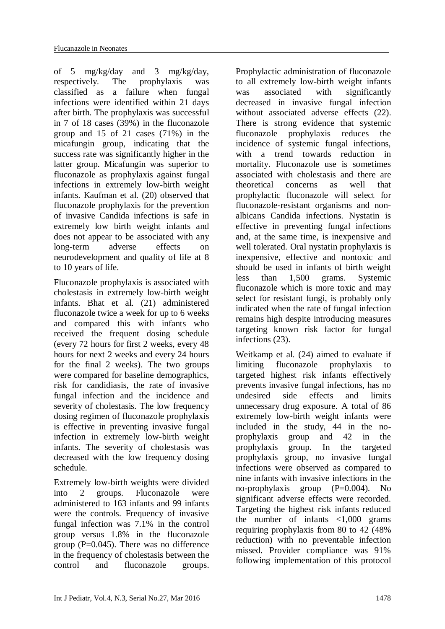of 5 mg/kg/day and 3 mg/kg/day, respectively. The prophylaxis was classified as a failure when fungal infections were identified within 21 days after birth. The prophylaxis was successful in 7 of 18 cases (39%) in the fluconazole group and 15 of 21 cases (71%) in the micafungin group, indicating that the success rate was significantly higher in the latter group. Micafungin was superior to fluconazole as prophylaxis against fungal infections in extremely low-birth weight infants. Kaufman et al. (20) observed that fluconazole prophylaxis for the prevention of invasive Candida infections is safe in extremely low birth weight infants and does not appear to be associated with any long-term adverse effects on neurodevelopment and quality of life at 8 to 10 years of life.

Fluconazole prophylaxis is associated with cholestasis in extremely low-birth weight infants. Bhat et al. (21) administered fluconazole twice a week for up to 6 weeks and compared this with infants who received the frequent dosing schedule (every 72 hours for first 2 weeks, every 48 hours for next 2 weeks and every 24 hours for the final 2 weeks). The two groups were compared for baseline demographics, risk for candidiasis, the rate of invasive fungal infection and the incidence and severity of cholestasis. The low frequency dosing regimen of fluconazole prophylaxis is effective in preventing invasive fungal infection in extremely low-birth weight infants. The severity of cholestasis was decreased with the low frequency dosing schedule.

Extremely low-birth weights were divided into 2 groups. Fluconazole were administered to 163 infants and 99 infants were the controls. Frequency of invasive fungal infection was 7.1% in the control group versus 1.8% in the fluconazole group ( $P=0.045$ ). There was no difference in the frequency of cholestasis between the control and fluconazole groups.

Prophylactic administration of fluconazole to all extremely low-birth weight infants was associated with significantly decreased in invasive fungal infection without associated adverse effects (22). There is strong evidence that systemic fluconazole prophylaxis reduces the incidence of systemic fungal infections, with a trend towards reduction in mortality. Fluconazole use is sometimes associated with cholestasis and there are theoretical concerns as well that prophylactic fluconazole will select for fluconazole-resistant organisms and nonalbicans Candida infections. Nystatin is effective in preventing fungal infections and, at the same time, is inexpensive and well tolerated. Oral nystatin prophylaxis is inexpensive, effective and nontoxic and should be used in infants of birth weight less than 1,500 grams. Systemic fluconazole which is more toxic and may select for resistant fungi, is probably only indicated when the rate of fungal infection remains high despite introducing measures targeting known risk factor for fungal infections (23).

Weitkamp et al. (24) aimed to evaluate if limiting fluconazole prophylaxis to targeted highest risk infants effectively prevents invasive fungal infections, has no undesired side effects and limits unnecessary drug exposure. A total of 86 extremely low-birth weight infants were included in the study, 44 in the noprophylaxis group and 42 in the prophylaxis group. In the targeted prophylaxis group, no invasive fungal infections were observed as compared to nine infants with invasive infections in the no-prophylaxis group (P=0.004). No significant adverse effects were recorded. Targeting the highest risk infants reduced the number of infants  $\langle 1,000 \rangle$  grams requiring prophylaxis from 80 to 42 (48% reduction) with no preventable infection missed. Provider compliance was 91% following implementation of this protocol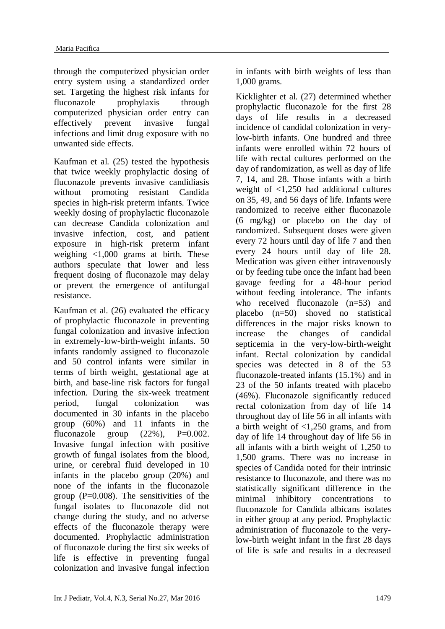through the computerized physician order entry system using a standardized order set. Targeting the highest risk infants for fluconazole prophylaxis through computerized physician order entry can effectively prevent invasive fungal infections and limit drug exposure with no unwanted side effects.

Kaufman et al. (25) tested the hypothesis that twice weekly prophylactic dosing of fluconazole prevents invasive candidiasis without promoting resistant Candida species in high-risk preterm infants. Twice weekly dosing of prophylactic fluconazole can decrease Candida colonization and invasive infection, cost, and patient exposure in high-risk preterm infant weighing <1,000 grams at birth. These authors speculate that lower and less frequent dosing of fluconazole may delay or prevent the emergence of antifungal resistance.

Kaufman et al. (26) evaluated the efficacy of prophylactic fluconazole in preventing fungal colonization and invasive infection in extremely-low-birth-weight infants. 50 infants randomly assigned to fluconazole and 50 control infants were similar in terms of birth weight, gestational age at birth, and base-line risk factors for fungal infection. During the six-week treatment period, fungal colonization was documented in 30 infants in the placebo group (60%) and 11 infants in the fluconazole group  $(22\%)$ , P=0.002. Invasive fungal infection with positive growth of fungal isolates from the blood, urine, or cerebral fluid developed in 10 infants in the placebo group (20%) and none of the infants in the fluconazole group  $(P=0.008)$ . The sensitivities of the fungal isolates to fluconazole did not change during the study, and no adverse effects of the fluconazole therapy were documented. Prophylactic administration of fluconazole during the first six weeks of life is effective in preventing fungal colonization and invasive fungal infection in infants with birth weights of less than 1,000 grams.

Kicklighter et al. (27) determined whether prophylactic fluconazole for the first 28 days of life results in a decreased incidence of candidal colonization in verylow-birth infants. One hundred and three infants were enrolled within 72 hours of life with rectal cultures performed on the day of randomization, as well as day of life 7, 14, and 28. Those infants with a birth weight of <1,250 had additional cultures on 35, 49, and 56 days of life. Infants were randomized to receive either fluconazole (6 mg/kg) or placebo on the day of randomized. Subsequent doses were given every 72 hours until day of life 7 and then every 24 hours until day of life 28. Medication was given either intravenously or by feeding tube once the infant had been gavage feeding for a 48-hour period without feeding intolerance. The infants who received fluconazole  $(n=53)$  and placebo (n=50) shoved no statistical differences in the major risks known to increase the changes of candidal septicemia in the very-low-birth-weight infant. Rectal colonization by candidal species was detected in 8 of the 53 fluconazole-treated infants (15.1%) and in 23 of the 50 infants treated with placebo (46%). Fluconazole significantly reduced rectal colonization from day of life 14 throughout day of life 56 in all infants with a birth weight of <1,250 grams, and from day of life 14 throughout day of life 56 in all infants with a birth weight of 1,250 to 1,500 grams. There was no increase in species of Candida noted for their intrinsic resistance to fluconazole, and there was no statistically significant difference in the minimal inhibitory concentrations to fluconazole for Candida albicans isolates in either group at any period. Prophylactic administration of fluconazole to the verylow-birth weight infant in the first 28 days of life is safe and results in a decreased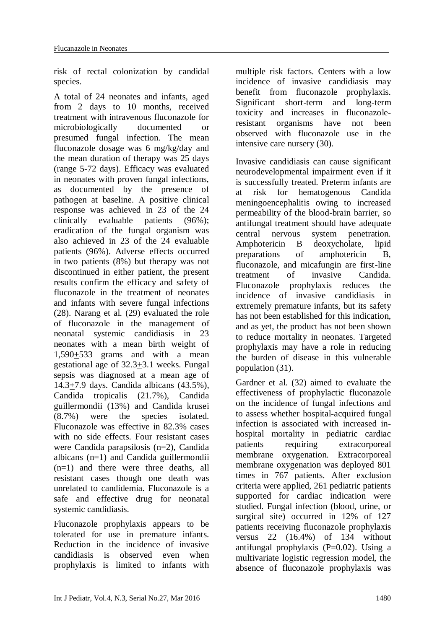risk of rectal colonization by candidal species.

A total of 24 neonates and infants, aged from 2 days to 10 months, received treatment with intravenous fluconazole for microbiologically documented or presumed fungal infection. The mean fluconazole dosage was 6 mg/kg/day and the mean duration of therapy was 25 days (range 5-72 days). Efficacy was evaluated in neonates with proven fungal infections, as documented by the presence of pathogen at baseline. A positive clinical response was achieved in 23 of the 24 clinically evaluable patients (96%); eradication of the fungal organism was also achieved in 23 of the 24 evaluable patients (96%). Adverse effects occurred in two patients (8%) but therapy was not discontinued in either patient, the present results confirm the efficacy and safety of fluconazole in the treatment of neonates and infants with severe fungal infections (28). Narang et al. (29) evaluated the role of fluconazole in the management of neonatal systemic candidiasis in 23 neonates with a mean birth weight of 1,590+533 grams and with a mean gestational age of  $32.3 \pm 3.1$  weeks. Fungal sepsis was diagnosed at a mean age of 14.3+7.9 days. Candida albicans (43.5%), Candida tropicalis (21.7%), Candida guillermondii (13%) and Candida krusei (8.7%) were the species isolated. Fluconazole was effective in 82.3% cases with no side effects. Four resistant cases were Candida parapsilosis (n=2), Candida albicans (n=1) and Candida guillermondii (n=1) and there were three deaths, all resistant cases though one death was unrelated to candidemia. Fluconazole is a safe and effective drug for neonatal systemic candidiasis.

Fluconazole prophylaxis appears to be tolerated for use in premature infants. Reduction in the incidence of invasive candidiasis is observed even when prophylaxis is limited to infants with multiple risk factors. Centers with a low incidence of invasive candidiasis may benefit from fluconazole prophylaxis. Significant short-term and long-term toxicity and increases in fluconazoleresistant organisms have not been observed with fluconazole use in the intensive care nursery (30).

Invasive candidiasis can cause significant neurodevelopmental impairment even if it is successfully treated. Preterm infants are at risk for hematogenous Candida meningoencephalitis owing to increased permeability of the blood-brain barrier, so antifungal treatment should have adequate central nervous system penetration. Amphotericin B deoxycholate, lipid preparations of amphotericin B, fluconazole, and micafungin are first-line treatment of invasive Candida. Fluconazole prophylaxis reduces the incidence of invasive candidiasis in extremely premature infants, but its safety has not been established for this indication, and as yet, the product has not been shown to reduce mortality in neonates. Targeted prophylaxis may have a role in reducing the burden of disease in this vulnerable population (31).

Gardner et al. (32) aimed to evaluate the effectiveness of prophylactic fluconazole on the incidence of fungal infections and to assess whether hospital-acquired fungal infection is associated with increased inhospital mortality in pediatric cardiac patients requiring extracorporeal membrane oxygenation. Extracorporeal membrane oxygenation was deployed 801 times in 767 patients. After exclusion criteria were applied, 261 pediatric patients supported for cardiac indication were studied. Fungal infection (blood, urine, or surgical site) occurred in 12% of 127 patients receiving fluconazole prophylaxis versus 22 (16.4%) of 134 without antifungal prophylaxis  $(P=0.02)$ . Using a multivariate logistic regression model, the absence of fluconazole prophylaxis was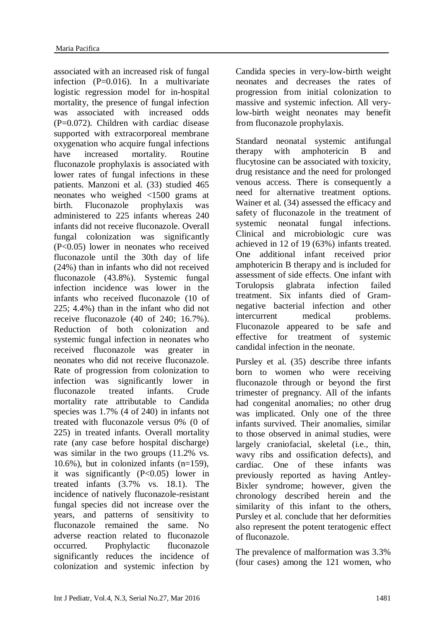associated with an increased risk of fungal infection (P=0.016). In a multivariate logistic regression model for in-hospital mortality, the presence of fungal infection was associated with increased odds  $(P=0.072)$ . Children with cardiac disease supported with extracorporeal membrane oxygenation who acquire fungal infections have increased mortality. Routine fluconazole prophylaxis is associated with lower rates of fungal infections in these patients. Manzoni et al. (33) studied 465 neonates who weighed <1500 grams at birth. Fluconazole prophylaxis was administered to 225 infants whereas 240 infants did not receive fluconazole. Overall fungal colonization was significantly (P<0.05) lower in neonates who received fluconazole until the 30th day of life (24%) than in infants who did not received fluconazole (43.8%). Systemic fungal infection incidence was lower in the infants who received fluconazole (10 of 225; 4.4%) than in the infant who did not receive fluconazole (40 of 240; 16.7%). Reduction of both colonization and systemic fungal infection in neonates who received fluconazole was greater in neonates who did not receive fluconazole. Rate of progression from colonization to infection was significantly lower in fluconazole treated infants. Crude mortality rate attributable to Candida species was 1.7% (4 of 240) in infants not treated with fluconazole versus 0% (0 of 225) in treated infants. Overall mortality rate (any case before hospital discharge) was similar in the two groups (11.2% vs.  $10.6\%$ ), but in colonized infants  $(n=159)$ , it was significantly  $(P<0.05)$  lower in treated infants (3.7% vs. 18.1). The incidence of natively fluconazole-resistant fungal species did not increase over the years, and patterns of sensitivity to fluconazole remained the same. No adverse reaction related to fluconazole occurred. Prophylactic fluconazole significantly reduces the incidence of colonization and systemic infection by Candida species in very-low-birth weight neonates and decreases the rates of progression from initial colonization to massive and systemic infection. All verylow-birth weight neonates may benefit from fluconazole prophylaxis.

Standard neonatal systemic antifungal therapy with amphotericin B and flucytosine can be associated with toxicity, drug resistance and the need for prolonged venous access. There is consequently a need for alternative treatment options. Wainer et al. (34) assessed the efficacy and safety of fluconazole in the treatment of systemic neonatal fungal infections. Clinical and microbiologic cure was achieved in 12 of 19 (63%) infants treated. One additional infant received prior amphotericin B therapy and is included for assessment of side effects. One infant with Torulopsis glabrata infection failed treatment. Six infants died of Gramnegative bacterial infection and other intercurrent medical problems. Fluconazole appeared to be safe and effective for treatment of systemic candidal infection in the neonate.

Pursley et al. (35) describe three infants born to women who were receiving fluconazole through or beyond the first trimester of pregnancy. All of the infants had congenital anomalies; no other drug was implicated. Only one of the three infants survived. Their anomalies, similar to those observed in animal studies, were largely craniofacial, skeletal (i.e., thin, wavy ribs and ossification defects), and cardiac. One of these infants was previously reported as having Antley-Bixler syndrome; however, given the chronology described herein and the similarity of this infant to the others, Pursley et al. conclude that her deformities also represent the potent teratogenic effect of fluconazole.

The prevalence of malformation was 3.3% (four cases) among the 121 women, who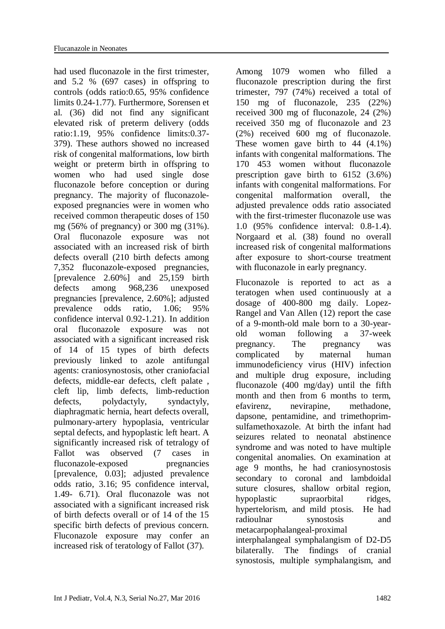had used fluconazole in the first trimester, and 5.2 % (697 cases) in offspring to controls (odds ratio:0.65, 95% confidence limits 0.24-1.77). Furthermore, Sorensen et al. (36) did not find any significant elevated risk of preterm delivery (odds ratio:1.19, 95% confidence limits:0.37- 379). These authors showed no increased risk of congenital malformations, low birth weight or preterm birth in offspring to women who had used single dose fluconazole before conception or during pregnancy. The majority of fluconazoleexposed pregnancies were in women who received common therapeutic doses of 150 mg (56% of pregnancy) or 300 mg (31%). Oral fluconazole exposure was not associated with an increased risk of birth defects overall (210 birth defects among 7,352 fluconazole-exposed pregnancies, [prevalence 2.60%] and 25,159 birth defects among 968,236 unexposed pregnancies [prevalence, 2.60%]; adjusted prevalence odds ratio, 1.06; 95% confidence interval 0.92-1.21). In addition oral fluconazole exposure was not associated with a significant increased risk of 14 of 15 types of birth defects previously linked to azole antifungal agents: craniosynostosis, other craniofacial defects, middle-ear defects, cleft palate , cleft lip, limb defects, limb-reduction defects, polydactyly, syndactyly, diaphragmatic hernia, heart defects overall, pulmonary-artery hypoplasia, ventricular septal defects, and hypoplastic left heart. A significantly increased risk of tetralogy of Fallot was observed (7 cases in fluconazole-exposed pregnancies [prevalence, 0.03]; adjusted prevalence odds ratio, 3.16; 95 confidence interval, 1.49- 6.71). Oral fluconazole was not associated with a significant increased risk of birth defects overall or of 14 of the 15 specific birth defects of previous concern. Fluconazole exposure may confer an increased risk of teratology of Fallot (37).

Among 1079 women who filled a fluconazole prescription during the first trimester, 797 (74%) received a total of 150 mg of fluconazole, 235 (22%) received 300 mg of fluconazole, 24 (2%) received 350 mg of fluconazole and 23 (2%) received 600 mg of fluconazole. These women gave birth to 44 (4.1%) infants with congenital malformations. The 170 453 women without fluconazole prescription gave birth to 6152 (3.6%) infants with congenital malformations. For congenital malformation overall, the adjusted prevalence odds ratio associated with the first-trimester fluconazole use was 1.0 (95% confidence interval: 0.8-1.4). Norgaard et al. (38) found no overall increased risk of congenital malformations after exposure to short-course treatment with fluconazole in early pregnancy.

Fluconazole is reported to act as a teratogen when used continuously at a dosage of 400-800 mg daily. Lopez-Rangel and Van Allen (12) report the case of a 9-month-old male born to a 30-yearold woman following a 37-week pregnancy. The pregnancy was complicated by maternal human immunodeficiency virus (HIV) infection and multiple drug exposure, including fluconazole (400 mg/day) until the fifth month and then from 6 months to term, efavirenz, nevirapine, methadone, dapsone, pentamidine, and trimethoprimsulfamethoxazole. At birth the infant had seizures related to neonatal abstinence syndrome and was noted to have multiple congenital anomalies. On examination at age 9 months, he had craniosynostosis secondary to coronal and lambdoidal suture closures, shallow orbital region, hypoplastic supraorbital ridges, hypertelorism, and mild ptosis. He had radioulnar synostosis and metacarpophalangeal-proximal interphalangeal symphalangism of D2-D5 bilaterally. The findings of cranial synostosis, multiple symphalangism, and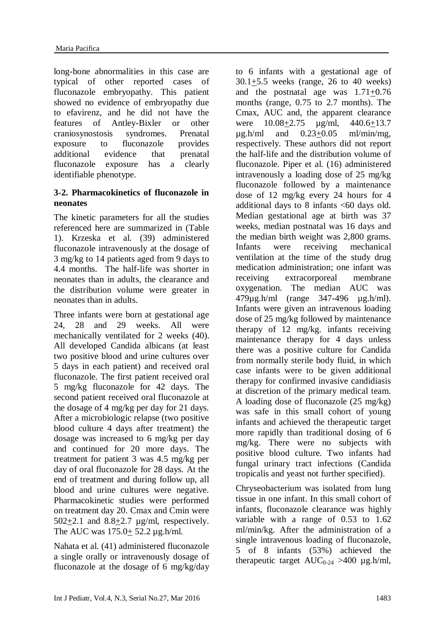long-bone abnormalities in this case are typical of other reported cases of fluconazole embryopathy. This patient showed no evidence of embryopathy due to efavirenz, and he did not have the features of Antley-Bixler or other craniosynostosis syndromes. Prenatal exposure to fluconazole provides additional evidence that prenatal fluconazole exposure has a clearly identifiable phenotype.

# **3-2. Pharmacokinetics of fluconazole in neonates**

The kinetic parameters for all the studies referenced here are summarized in (Table 1). Krzeska et al. (39) administered fluconazole intravenously at the dosage of 3 mg/kg to 14 patients aged from 9 days to 4.4 months. The half-life was shorter in neonates than in adults, the clearance and the distribution volume were greater in neonates than in adults.

Three infants were born at gestational age 24, 28 and 29 weeks. All were mechanically ventilated for 2 weeks (40). All developed Candida albicans (at least two positive blood and urine cultures over 5 days in each patient) and received oral fluconazole. The first patient received oral 5 mg/kg fluconazole for 42 days. The second patient received oral fluconazole at the dosage of 4 mg/kg per day for 21 days. After a microbiologic relapse (two positive blood culture 4 days after treatment) the dosage was increased to 6 mg/kg per day and continued for 20 more days. The treatment for patient 3 was 4.5 mg/kg per day of oral fluconazole for 28 days. At the end of treatment and during follow up, all blood and urine cultures were negative. Pharmacokinetic studies were performed on treatment day 20. Cmax and Cmin were 502+2.1 and 8.8+2.7 µg/ml, respectively. The AUC was 175.0+ 52.2 µg.h/ml.

Nahata et al. (41) administered fluconazole a single orally or intravenously dosage of fluconazole at the dosage of 6 mg/kg/day to 6 infants with a gestational age of 30.1+5.5 weeks (range, 26 to 40 weeks) and the postnatal age was  $1.71 \pm 0.76$ months (range, 0.75 to 2.7 months). The Cmax, AUC and, the apparent clearance were 10.08+2.75 µg/ml, 440.6+13.7  $\mu$ g.h/ml and  $0.23+0.05$  ml/min/mg, respectively. These authors did not report the half-life and the distribution volume of fluconazole. Piper et al. (16) administered intravenously a loading dose of 25 mg/kg fluconazole followed by a maintenance dose of 12 mg/kg every 24 hours for 4 additional days to 8 infants <60 days old. Median gestational age at birth was 37 weeks, median postnatal was 16 days and the median birth weight was 2,800 grams. Infants were receiving mechanical ventilation at the time of the study drug medication administration; one infant was receiving extracorporeal membrane oxygenation. The median AUC was 479µg.h/ml (range 347-496 µg.h/ml). Infants were given an intravenous loading dose of 25 mg/kg followed by maintenance therapy of 12 mg/kg. infants receiving maintenance therapy for 4 days unless there was a positive culture for Candida from normally sterile body fluid, in which case infants were to be given additional therapy for confirmed invasive candidiasis at discretion of the primary medical team. A loading dose of fluconazole (25 mg/kg) was safe in this small cohort of young infants and achieved the therapeutic target more rapidly than traditional dosing of 6 mg/kg. There were no subjects with positive blood culture. Two infants had fungal urinary tract infections (Candida tropicalis and yeast not further specified).

Chryseobacterium was isolated from lung tissue in one infant. In this small cohort of infants, fluconazole clearance was highly variable with a range of 0.53 to 1.62 ml/min/kg. After the administration of a single intravenous loading of fluconazole, 5 of 8 infants (53%) achieved the therapeutic target  $AUC_{0.24} > 400 \mu g.h/ml$ ,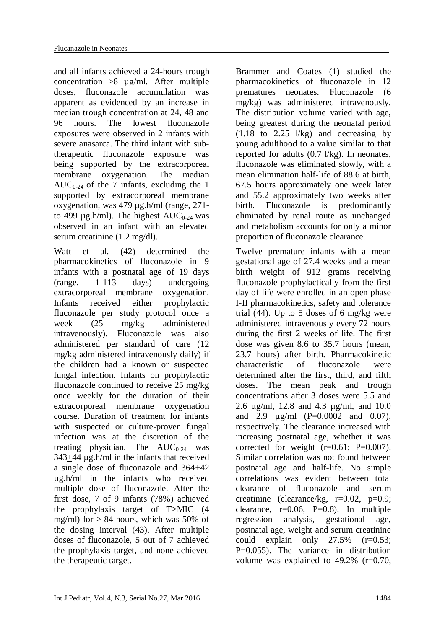and all infants achieved a 24-hours trough concentration >8 µg/ml. After multiple doses, fluconazole accumulation was apparent as evidenced by an increase in median trough concentration at 24, 48 and 96 hours. The lowest fluconazole exposures were observed in 2 infants with severe anasarca. The third infant with subtherapeutic fluconazole exposure was being supported by the extracorporeal membrane oxygenation. The median AUC<sub>0-24</sub> of the 7 infants, excluding the 1 supported by extracorporeal membrane oxygenation, was 479 µg.h/ml (range, 271 to 499  $\mu$ g.h/ml). The highest AUC<sub>0-24</sub> was observed in an infant with an elevated serum creatinine (1.2 mg/dl).

Watt et al. (42) determined the pharmacokinetics of fluconazole in 9 infants with a postnatal age of 19 days (range, 1-113 days) undergoing extracorporeal membrane oxygenation. Infants received either prophylactic fluconazole per study protocol once a week (25 mg/kg administered intravenously). Fluconazole was also administered per standard of care (12 mg/kg administered intravenously daily) if the children had a known or suspected fungal infection. Infants on prophylactic fluconazole continued to receive 25 mg/kg once weekly for the duration of their extracorporeal membrane oxygenation course. Duration of treatment for infants with suspected or culture-proven fungal infection was at the discretion of the treating physician. The  $AUC_{0-24}$  was 343+44 µg.h/ml in the infants that received a single dose of fluconazole and 364+42 µg.h/ml in the infants who received multiple dose of fluconazole. After the first dose, 7 of 9 infants (78%) achieved the prophylaxis target of T>MIC (4 mg/ml) for  $> 84$  hours, which was 50% of the dosing interval (43). After multiple doses of fluconazole, 5 out of 7 achieved the prophylaxis target, and none achieved the therapeutic target.

Brammer and Coates (1) studied the pharmacokinetics of fluconazole in 12 prematures neonates. Fluconazole (6 mg/kg) was administered intravenously. The distribution volume varied with age, being greatest during the neonatal period  $(1.18 \text{ to } 2.25 \frac{\text{1}}{\text{kg}})$  and decreasing by young adulthood to a value similar to that reported for adults (0.7 l/kg). In neonates, fluconazole was eliminated slowly, with a mean elimination half-life of 88.6 at birth, 67.5 hours approximately one week later and 55.2 approximately two weeks after birth. Fluconazole is predominantly eliminated by renal route as unchanged and metabolism accounts for only a minor proportion of fluconazole clearance.

Twelve premature infants with a mean gestational age of 27.4 weeks and a mean birth weight of 912 grams receiving fluconazole prophylactically from the first day of life were enrolled in an open phase I-II pharmacokinetics, safety and tolerance trial  $(44)$ . Up to 5 doses of 6 mg/kg were administered intravenously every 72 hours during the first 2 weeks of life. The first dose was given 8.6 to 35.7 hours (mean, 23.7 hours) after birth. Pharmacokinetic characteristic of fluconazole were determined after the first, third, and fifth doses. The mean peak and trough concentrations after 3 doses were 5.5 and 2.6 µg/ml, 12.8 and 4.3 µg/ml, and 10.0 and 2.9 µg/ml (P=0.0002 and 0.07), respectively. The clearance increased with increasing postnatal age, whether it was corrected for weight  $(r=0.61; P=0.007)$ . Similar correlation was not found between postnatal age and half-life. No simple correlations was evident between total clearance of fluconazole and serum creatinine (clearance/kg, r=0.02, p=0.9; clearance,  $r=0.06$ ,  $P=0.8$ ). In multiple regression analysis, gestational age, postnatal age, weight and serum creatinine could explain only 27.5% (r=0.53; P=0.055). The variance in distribution volume was explained to 49.2% (r=0.70,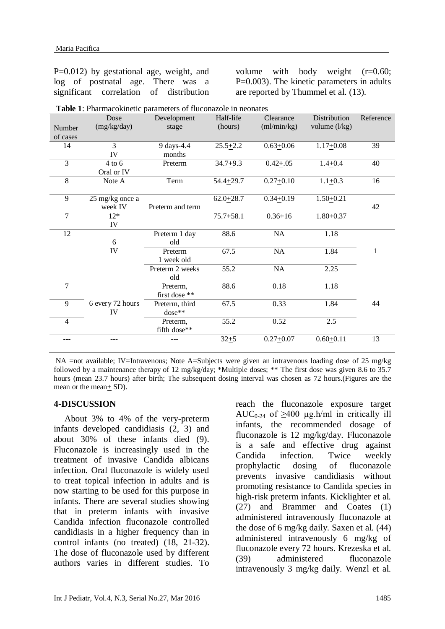P=0.012) by gestational age, weight, and log of postnatal age. There was a significant correlation of distribution volume with body weight (r=0.60; P=0.003). The kinetic parameters in adults are reported by Thummel et al. (13).

|                | Dose             | Development      | Half-life     | Clearance     | Distribution    | Reference    |
|----------------|------------------|------------------|---------------|---------------|-----------------|--------------|
| Number         | (mg/kg/day)      | stage            | (hours)       | (ml/min/kg)   | volume $(l/kg)$ |              |
| of cases       |                  |                  |               |               |                 |              |
| 14             | 3                | 9 days-4.4       | $25.5 + 2.2$  | $0.63 + 0.06$ | $1.17 + 0.08$   | 39           |
|                | IV               | months           |               |               |                 |              |
| $\overline{3}$ | $4$ to $6$       | Preterm          | $34.7 + 9.3$  | $0.42 + 0.05$ | $1.4 + 0.4$     | 40           |
|                | Oral or IV       |                  |               |               |                 |              |
| 8              | Note A           | Term             | $54.4 + 29.7$ | $0.27 + 0.10$ | $1.1 + 0.3$     | 16           |
|                |                  |                  |               |               |                 |              |
| 9              | 25 mg/kg once a  |                  | $62.0 + 28.7$ | $0.34 + 0.19$ | $1.50 + 0.21$   |              |
|                | week IV          | Preterm and term |               |               |                 | 42           |
| 7              | $12*$            |                  | $75.7 + 58.1$ | $0.36 + 16$   | $1.80 + 0.37$   |              |
|                | IV               |                  |               |               |                 |              |
| 12             |                  | Preterm 1 day    | 88.6          | NA            | 1.18            |              |
|                | 6                | old              |               |               |                 |              |
|                | IV               | Preterm          | 67.5          | NA            | 1.84            | $\mathbf{1}$ |
|                |                  | 1 week old       |               |               |                 |              |
|                |                  | Preterm 2 weeks  | 55.2          | NA            | 2.25            |              |
|                |                  | old              |               |               |                 |              |
| 7              |                  | Preterm,         | 88.6          | 0.18          | 1.18            |              |
|                |                  | first dose **    |               |               |                 |              |
| 9              | 6 every 72 hours | Preterm, third   | 67.5          | 0.33          | 1.84            | 44           |
|                | IV               | dose**           |               |               |                 |              |
| $\overline{4}$ |                  | Preterm,         | 55.2          | 0.52          | 2.5             |              |
|                |                  | fifth dose**     |               |               |                 |              |
| ---            |                  |                  | $32 + 5$      | $0.27 + 0.07$ | $0.60 + 0.11$   | 13           |

**Table 1**: Pharmacokinetic parameters of fluconazole in neonates

NA =not available; IV=Intravenous; Note A=Subjects were given an intravenous loading dose of 25 mg/kg followed by a maintenance therapy of 12 mg/kg/day; \*Multiple doses; \*\* The first dose was given 8.6 to 35.7 hours (mean 23.7 hours) after birth; The subsequent dosing interval was chosen as 72 hours.(Figures are the mean or the mean $+$  SD).

#### **4-DISCUSSION**

About 3% to 4% of the very-preterm infants developed candidiasis (2, 3) and about 30% of these infants died (9). Fluconazole is increasingly used in the treatment of invasive Candida albicans infection. Oral fluconazole is widely used to treat topical infection in adults and is now starting to be used for this purpose in infants. There are several studies showing that in preterm infants with invasive Candida infection fluconazole controlled candidiasis in a higher frequency than in control infants (no treated) (18, 21-32). The dose of fluconazole used by different authors varies in different studies. To reach the fluconazole exposure target AUC<sub>0-24</sub> of  $>400 \text{ µg,h/ml}$  in critically ill infants, the recommended dosage of fluconazole is 12 mg/kg/day. Fluconazole is a safe and effective drug against Candida infection. Twice weekly prophylactic dosing of fluconazole prevents invasive candidiasis without promoting resistance to Candida species in high-risk preterm infants. Kicklighter et al. (27) and Brammer and Coates (1) administered intravenously fluconazole at the dose of 6 mg/kg daily. Saxen et al. (44) administered intravenously 6 mg/kg of fluconazole every 72 hours. Krezeska et al. (39) administered fluconazole intravenously 3 mg/kg daily. Wenzl et al.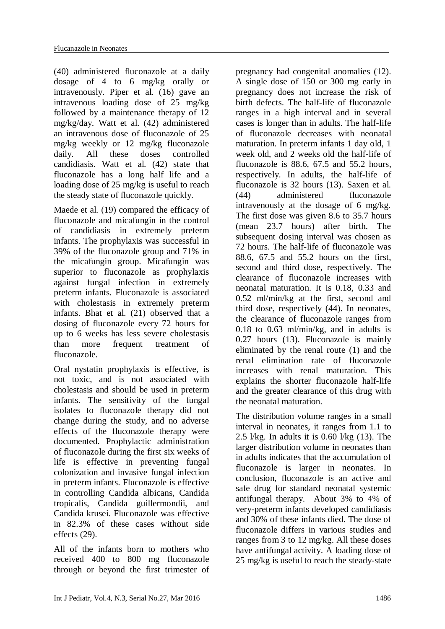(40) administered fluconazole at a daily dosage of 4 to 6 mg/kg orally or intravenously. Piper et al. (16) gave an intravenous loading dose of 25 mg/kg followed by a maintenance therapy of 12 mg/kg/day. Watt et al. (42) administered an intravenous dose of fluconazole of 25 mg/kg weekly or 12 mg/kg fluconazole daily. All these doses controlled candidiasis. Watt et al. (42) state that fluconazole has a long half life and a loading dose of 25 mg/kg is useful to reach the steady state of fluconazole quickly.

Maede et al. (19) compared the efficacy of fluconazole and micafungin in the control of candidiasis in extremely preterm infants. The prophylaxis was successful in 39% of the fluconazole group and 71% in the micafungin group. Micafungin was superior to fluconazole as prophylaxis against fungal infection in extremely preterm infants. Fluconazole is associated with cholestasis in extremely preterm infants. Bhat et al. (21) observed that a dosing of fluconazole every 72 hours for up to 6 weeks has less severe cholestasis than more frequent treatment of fluconazole.

Oral nystatin prophylaxis is effective, is not toxic, and is not associated with cholestasis and should be used in preterm infants. The sensitivity of the fungal isolates to fluconazole therapy did not change during the study, and no adverse effects of the fluconazole therapy were documented. Prophylactic administration of fluconazole during the first six weeks of life is effective in preventing fungal colonization and invasive fungal infection in preterm infants. Fluconazole is effective in controlling Candida albicans, Candida tropicalis, Candida guillermondii, and Candida krusei. Fluconazole was effective in 82.3% of these cases without side effects (29).

All of the infants born to mothers who received 400 to 800 mg fluconazole through or beyond the first trimester of

pregnancy had congenital anomalies (12). A single dose of 150 or 300 mg early in pregnancy does not increase the risk of birth defects. The half-life of fluconazole ranges in a high interval and in several cases is longer than in adults. The half-life of fluconazole decreases with neonatal maturation. In preterm infants 1 day old, 1 week old, and 2 weeks old the half-life of fluconazole is 88.6, 67.5 and 55.2 hours, respectively. In adults, the half-life of fluconazole is 32 hours (13). Saxen et al. (44) administered fluconazole intravenously at the dosage of 6 mg/kg. The first dose was given 8.6 to 35.7 hours (mean 23.7 hours) after birth. The subsequent dosing interval was chosen as 72 hours. The half-life of fluconazole was 88.6, 67.5 and 55.2 hours on the first, second and third dose, respectively. The clearance of fluconazole increases with neonatal maturation. It is 0.18, 0.33 and 0.52 ml/min/kg at the first, second and third dose, respectively (44). In neonates, the clearance of fluconazole ranges from 0.18 to 0.63 ml/min/kg, and in adults is 0.27 hours (13). Fluconazole is mainly eliminated by the renal route (1) and the renal elimination rate of fluconazole increases with renal maturation. This explains the shorter fluconazole half-life and the greater clearance of this drug with the neonatal maturation.

The distribution volume ranges in a small interval in neonates, it ranges from 1.1 to 2.5  $1$ /kg. In adults it is 0.60  $1$ /kg (13). The larger distribution volume in neonates than in adults indicates that the accumulation of fluconazole is larger in neonates. In conclusion, fluconazole is an active and safe drug for standard neonatal systemic antifungal therapy. About 3% to 4% of very-preterm infants developed candidiasis and 30% of these infants died. The dose of fluconazole differs in various studies and ranges from 3 to 12 mg/kg. All these doses have antifungal activity. A loading dose of 25 mg/kg is useful to reach the steady-state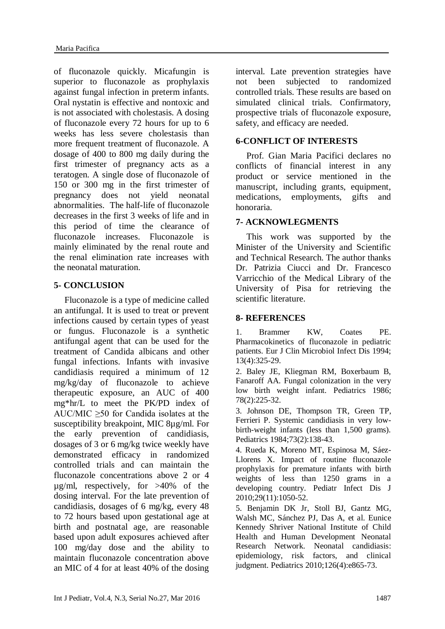of fluconazole quickly. Micafungin is superior to fluconazole as prophylaxis against fungal infection in preterm infants. Oral nystatin is effective and nontoxic and is not associated with cholestasis. A dosing of fluconazole every 72 hours for up to 6 weeks has less severe cholestasis than more frequent treatment of fluconazole. A dosage of 400 to 800 mg daily during the first trimester of pregnancy acts as a teratogen. A single dose of fluconazole of 150 or 300 mg in the first trimester of pregnancy does not yield neonatal abnormalities. The half-life of fluconazole decreases in the first 3 weeks of life and in this period of time the clearance of fluconazole increases. Fluconazole is mainly eliminated by the renal route and the renal elimination rate increases with the neonatal maturation.

#### **5- CONCLUSION**

Fluconazole is a type of medicine called an antifungal. It is used to treat or prevent infections caused by certain types of yeast or fungus. Fluconazole is a synthetic antifungal agent that can be used for the treatment of Candida albicans and other fungal infections. Infants with invasive candidiasis required a minimum of 12 mg/kg/day of fluconazole to achieve therapeutic exposure, an AUC of 400 mg\*hr/L to meet the PK/PD index of AUC/MIC  $\geq 50$  for Candida isolates at the susceptibility breakpoint, MIC 8µg/ml. For the early prevention of candidiasis, dosages of 3 or 6 mg/kg twice weekly have demonstrated efficacy in randomized controlled trials and can maintain the fluconazole concentrations above 2 or 4 µg/ml, respectively, for >40% of the dosing interval. For the late prevention of candidiasis, dosages of 6 mg/kg, every 48 to 72 hours based upon gestational age at birth and postnatal age, are reasonable based upon adult exposures achieved after 100 mg/day dose and the ability to maintain fluconazole concentration above an MIC of 4 for at least 40% of the dosing

interval. Late prevention strategies have not been subjected to randomized controlled trials. These results are based on simulated clinical trials. Confirmatory, prospective trials of fluconazole exposure, safety, and efficacy are needed.

#### **6-CONFLICT OF INTERESTS**

Prof. Gian Maria Pacifici declares no conflicts of financial interest in any product or service mentioned in the manuscript, including grants, equipment, medications, employments, gifts and honoraria.

#### **7- ACKNOWLEGMENTS**

This work was supported by the Minister of the University and Scientific and Technical Research. The author thanks Dr. Patrizia Ciucci and Dr. Francesco Varricchio of the Medical Library of the University of Pisa for retrieving the scientific literature.

#### **8- REFERENCES**

1. [Brammer KW,](http://www.ncbi.nlm.nih.gov/pubmed/?term=Brammer%20KW%5BAuthor%5D&cauthor=true&cauthor_uid=8070441) [Coates PE.](http://www.ncbi.nlm.nih.gov/pubmed/?term=Coates%20PE%5BAuthor%5D&cauthor=true&cauthor_uid=8070441) Pharmacokinetics of fluconazole in pediatric patients. [Eur J Clin Microbiol Infect Dis](http://www.ncbi.nlm.nih.gov/pubmed/?term=Brammer+kw%2C+Coates+pe+1994) 1994; 13(4):325-29.

2. Baley JE, Kliegman RM, Boxerbaum B, Fanaroff AA. [Fungal colonization in the very](http://www.ncbi.nlm.nih.gov/pubmed/3526268)  [low birth weight infant.](http://www.ncbi.nlm.nih.gov/pubmed/3526268) Pediatrics 1986; 78(2):225-32.

3. Johnson DE, Thompson TR, Green TP, Ferrieri P. [Systemic candidiasis in very low](http://www.ncbi.nlm.nih.gov/pubmed/6694869)[birth-weight infants \(less than 1,500 grams\).](http://www.ncbi.nlm.nih.gov/pubmed/6694869) Pediatrics 1984;73(2):138-43.

4. Rueda K, Moreno MT, Espinosa M, Sáez-Llorens X. [Impact of routine fluconazole](http://www.ncbi.nlm.nih.gov/pubmed/20571460)  [prophylaxis for premature infants with birth](http://www.ncbi.nlm.nih.gov/pubmed/20571460)  [weights of less than 1250 grams in a](http://www.ncbi.nlm.nih.gov/pubmed/20571460)  [developing country.](http://www.ncbi.nlm.nih.gov/pubmed/20571460) Pediatr Infect Dis J 2010;29(11):1050-52.

5. [Benjamin DK Jr,](http://www.ncbi.nlm.nih.gov/pubmed/?term=Benjamin%20DK%20Jr%5BAuthor%5D&cauthor=true&cauthor_uid=20876174) [Stoll BJ,](http://www.ncbi.nlm.nih.gov/pubmed/?term=Stoll%20BJ%5BAuthor%5D&cauthor=true&cauthor_uid=20876174) [Gantz MG,](http://www.ncbi.nlm.nih.gov/pubmed/?term=Gantz%20MG%5BAuthor%5D&cauthor=true&cauthor_uid=20876174) [Walsh MC,](http://www.ncbi.nlm.nih.gov/pubmed/?term=Walsh%20MC%5BAuthor%5D&cauthor=true&cauthor_uid=20876174) [Sánchez PJ,](http://www.ncbi.nlm.nih.gov/pubmed/?term=S%C3%A1nchez%20PJ%5BAuthor%5D&cauthor=true&cauthor_uid=20876174) [Das A,](http://www.ncbi.nlm.nih.gov/pubmed/?term=Das%20A%5BAuthor%5D&cauthor=true&cauthor_uid=20876174) et al. [Eunice](http://www.ncbi.nlm.nih.gov/pubmed/?term=Eunice%20Kennedy%20Shriver%20National%20Institute%20of%20Child%20Health%20and%20Human%20Development%20Neonatal%20Research%20Network%5BCorporate%20Author%5D)  [Kennedy Shriver National Institute of Child](http://www.ncbi.nlm.nih.gov/pubmed/?term=Eunice%20Kennedy%20Shriver%20National%20Institute%20of%20Child%20Health%20and%20Human%20Development%20Neonatal%20Research%20Network%5BCorporate%20Author%5D)  [Health and Human Development Neonatal](http://www.ncbi.nlm.nih.gov/pubmed/?term=Eunice%20Kennedy%20Shriver%20National%20Institute%20of%20Child%20Health%20and%20Human%20Development%20Neonatal%20Research%20Network%5BCorporate%20Author%5D)  [Research Network.](http://www.ncbi.nlm.nih.gov/pubmed/?term=Eunice%20Kennedy%20Shriver%20National%20Institute%20of%20Child%20Health%20and%20Human%20Development%20Neonatal%20Research%20Network%5BCorporate%20Author%5D) Neonatal candidiasis: epidemiology, risk factors, and clinical judgment. [Pediatrics](http://www.ncbi.nlm.nih.gov/pubmed/?term=benjamin+dk%2C+stoll+bj+2010) 2010;126(4):e865-73.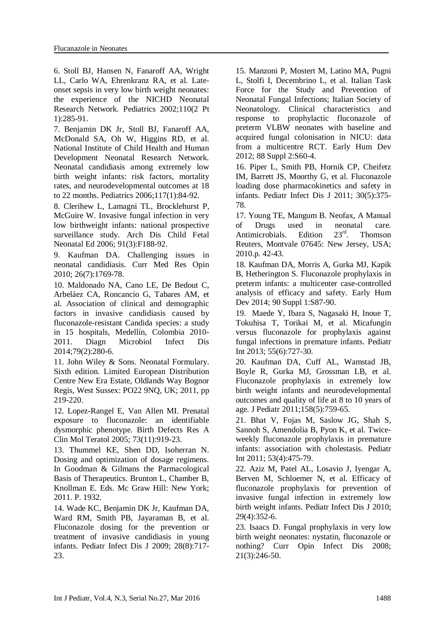6. Stoll BJ, Hansen N, Fanaroff AA, Wright LL, Carlo WA, Ehrenkranz RA, et al. [Late](http://www.ncbi.nlm.nih.gov/pubmed/12165580)[onset sepsis in very low birth weight neonates:](http://www.ncbi.nlm.nih.gov/pubmed/12165580)  [the experience of the NICHD Neonatal](http://www.ncbi.nlm.nih.gov/pubmed/12165580)  [Research Network.](http://www.ncbi.nlm.nih.gov/pubmed/12165580) Pediatrics 2002;110(2 Pt 1):285-91.

7. Benjamin DK Jr, Stoll BJ, Fanaroff AA, McDonald SA, Oh W, Higgins RD, et al. National Institute of Child Health and Human Development Neonatal Research Network. [Neonatal candidiasis among extremely low](http://www.ncbi.nlm.nih.gov/pubmed/16396864)  [birth weight infants: risk factors, mortality](http://www.ncbi.nlm.nih.gov/pubmed/16396864)  [rates, and neurodevelopmental outcomes at 18](http://www.ncbi.nlm.nih.gov/pubmed/16396864)  [to 22 months.](http://www.ncbi.nlm.nih.gov/pubmed/16396864) Pediatrics 2006;117(1):84-92.

8. [Clerihew L,](http://www.ncbi.nlm.nih.gov/pubmed/?term=Clerihew%20L%5BAuthor%5D&cauthor=true&cauthor_uid=16332924) [Lamagni TL,](http://www.ncbi.nlm.nih.gov/pubmed/?term=Lamagni%20TL%5BAuthor%5D&cauthor=true&cauthor_uid=16332924) [Brocklehurst P,](http://www.ncbi.nlm.nih.gov/pubmed/?term=Brocklehurst%20P%5BAuthor%5D&cauthor=true&cauthor_uid=16332924) [McGuire W.](http://www.ncbi.nlm.nih.gov/pubmed/?term=McGuire%20W%5BAuthor%5D&cauthor=true&cauthor_uid=16332924) Invasive fungal infection in very low birthweight infants: national prospective surveillance study. [Arch Dis Child Fetal](http://www.ncbi.nlm.nih.gov/pubmed/?term=Clerihew+l+2006)  [Neonatal Ed](http://www.ncbi.nlm.nih.gov/pubmed/?term=Clerihew+l+2006) 2006; 91(3):F188-92.

9. Kaufman DA. [Challenging issues in](http://www.ncbi.nlm.nih.gov/pubmed/20513206)  [neonatal candidiasis.](http://www.ncbi.nlm.nih.gov/pubmed/20513206) Curr Med Res Opin 2010; 26(7):1769-78.

10. Maldonado NA, Cano LE, De Bedout C, Arbeláez CA, Roncancio G, Tabares AM, et al. [Association of clinical and demographic](http://www.ncbi.nlm.nih.gov/pubmed/24666706)  [factors in invasive candidiasis caused by](http://www.ncbi.nlm.nih.gov/pubmed/24666706)  [fluconazole-resistant Candida species: a study](http://www.ncbi.nlm.nih.gov/pubmed/24666706)  [in 15 hospitals, Medellín, Colombia 2010-](http://www.ncbi.nlm.nih.gov/pubmed/24666706) [2011.](http://www.ncbi.nlm.nih.gov/pubmed/24666706) Diagn Microbiol Infect Dis 2014;79(2):280-6.

11. John Wiley & Sons. Neonatal Formulary. Sixth edition. Limited European Distribution Centre New Era Estate, Oldlands Way Bognor Regis, West Sussex: PO22 9NQ, UK; 2011, pp 219-220.

12. [Lopez-Rangel E,](http://www.ncbi.nlm.nih.gov/pubmed/?term=Lopez-Rangel%20E%5BAuthor%5D&cauthor=true&cauthor_uid=16265639) [Van Allen MI.](http://www.ncbi.nlm.nih.gov/pubmed/?term=Van%20Allen%20MI%5BAuthor%5D&cauthor=true&cauthor_uid=16265639) Prenatal exposure to fluconazole: an identifiable dysmorphic phenotype. [Birth Defects Res A](http://www.ncbi.nlm.nih.gov/pubmed/?term=Lopez-Rangel+e%2C+Van+Allen+mi+2005)  [Clin Mol Teratol](http://www.ncbi.nlm.nih.gov/pubmed/?term=Lopez-Rangel+e%2C+Van+Allen+mi+2005) 2005; 73(11):919-23.

13. Thummel KE, Shen DD, Isoherran N. Dosing and optimization of dosage regimens. In Goodman & Gilmans the Parmacological Basis of Therapeutics. Brunton L, Chamber B, Knollman E. Eds. Mc Graw Hill: New York; 2011. P. 1932.

14. Wade KC, Benjamin DK Jr, Kaufman DA, Ward RM, Smith PB, Jayaraman B, et al. [Fluconazole dosing for the prevention or](http://www.ncbi.nlm.nih.gov/pubmed/19593252)  [treatment of invasive candidiasis in young](http://www.ncbi.nlm.nih.gov/pubmed/19593252)  [infants.](http://www.ncbi.nlm.nih.gov/pubmed/19593252) Pediatr Infect Dis J 2009; 28(8):717- 23.

15. Manzoni P, Mostert M, Latino MA, Pugni L, Stolfi I, Decembrino L, et al. Italian Task Force for the Study and Prevention of Neonatal Fungal Infections; Italian Society of Neonatology. [Clinical characteristics and](http://www.ncbi.nlm.nih.gov/pubmed/22633517)  [response to prophylactic fluconazole of](http://www.ncbi.nlm.nih.gov/pubmed/22633517)  [preterm VLBW neonates with baseline and](http://www.ncbi.nlm.nih.gov/pubmed/22633517)  [acquired fungal colonisation in NICU: data](http://www.ncbi.nlm.nih.gov/pubmed/22633517)  [from a multicentre RCT.](http://www.ncbi.nlm.nih.gov/pubmed/22633517) Early Hum Dev 2012; 88 Suppl 2:S60-4.

16. [Piper L,](http://www.ncbi.nlm.nih.gov/pubmed/?term=Piper%20L%5BAuthor%5D&cauthor=true&cauthor_uid=21085048) [Smith PB,](http://www.ncbi.nlm.nih.gov/pubmed/?term=Smith%20PB%5BAuthor%5D&cauthor=true&cauthor_uid=21085048) [Hornik CP,](http://www.ncbi.nlm.nih.gov/pubmed/?term=Hornik%20CP%5BAuthor%5D&cauthor=true&cauthor_uid=21085048) [Cheifetz](http://www.ncbi.nlm.nih.gov/pubmed/?term=Cheifetz%20IM%5BAuthor%5D&cauthor=true&cauthor_uid=21085048)  [IM,](http://www.ncbi.nlm.nih.gov/pubmed/?term=Cheifetz%20IM%5BAuthor%5D&cauthor=true&cauthor_uid=21085048) [Barrett JS,](http://www.ncbi.nlm.nih.gov/pubmed/?term=Barrett%20JS%5BAuthor%5D&cauthor=true&cauthor_uid=21085048) [Moorthy G,](http://www.ncbi.nlm.nih.gov/pubmed/?term=Moorthy%20G%5BAuthor%5D&cauthor=true&cauthor_uid=21085048) et al. Fluconazole loading dose pharmacokinetics and safety in infants. [Pediatr Infect Dis J](http://www.ncbi.nlm.nih.gov/pubmed/?term=piper+l+smith+b%2C+hornik+cp+20011) 2011; 30(5):375- 78.

17. Young TE, Mangum B. Neofax, A Manual of Drugs used in neonatal care.<br>Antimicrobials Edition  $23<sup>rd</sup>$  Thomson Antimicrobials. Edition  $23<sup>rd</sup>$ . Thomson Reuters, Montvale 07645: New Jersey, USA; 2010.p. 42-43.

18. Kaufman DA, Morris A, Gurka MJ, Kapik B, Hetherington S. [Fluconazole prophylaxis in](http://www.ncbi.nlm.nih.gov/pubmed/24709470)  [preterm infants: a multicenter case-controlled](http://www.ncbi.nlm.nih.gov/pubmed/24709470)  [analysis of efficacy and safety.](http://www.ncbi.nlm.nih.gov/pubmed/24709470) Early Hum Dev 2014; 90 Suppl 1:S87-90.

19. Maede Y, Ibara S, Nagasaki H, Inoue T, Tokuhisa T, Torikai M, et al. [Micafungin](http://www.ncbi.nlm.nih.gov/pubmed/23773357)  [versus fluconazole for prophylaxis against](http://www.ncbi.nlm.nih.gov/pubmed/23773357)  [fungal infections in premature infants.](http://www.ncbi.nlm.nih.gov/pubmed/23773357) Pediatr Int 2013; 55(6):727-30.

20. Kaufman DA, Cuff AL, Wamstad JB, Boyle R, Gurka MJ, Grossman LB, et al. [Fluconazole prophylaxis in extremely low](http://www.ncbi.nlm.nih.gov/pubmed/21168853)  [birth weight infants and neurodevelopmental](http://www.ncbi.nlm.nih.gov/pubmed/21168853)  [outcomes and quality of life at 8 to 10 years of](http://www.ncbi.nlm.nih.gov/pubmed/21168853)  [age.](http://www.ncbi.nlm.nih.gov/pubmed/21168853) J Pediatr 2011;158(5):759-65.

21. [Bhat V,](http://www.ncbi.nlm.nih.gov/pubmed/?term=Bhat%20V%5BAuthor%5D&cauthor=true&cauthor_uid=21040197) [Fojas M,](http://www.ncbi.nlm.nih.gov/pubmed/?term=Fojas%20M%5BAuthor%5D&cauthor=true&cauthor_uid=21040197) [Saslow JG,](http://www.ncbi.nlm.nih.gov/pubmed/?term=Saslow%20JG%5BAuthor%5D&cauthor=true&cauthor_uid=21040197) [Shah S,](http://www.ncbi.nlm.nih.gov/pubmed/?term=Shah%20S%5BAuthor%5D&cauthor=true&cauthor_uid=21040197) [Sannoh S,](http://www.ncbi.nlm.nih.gov/pubmed/?term=Sannoh%20S%5BAuthor%5D&cauthor=true&cauthor_uid=21040197) [Amendolia B,](http://www.ncbi.nlm.nih.gov/pubmed/?term=Amendolia%20B%5BAuthor%5D&cauthor=true&cauthor_uid=21040197) [Pyon K,](http://www.ncbi.nlm.nih.gov/pubmed/?term=Pyon%20K%5BAuthor%5D&cauthor=true&cauthor_uid=21040197) et al. Twiceweekly fluconazole prophylaxis in premature infants: association with cholestasis. [Pediatr](http://www.ncbi.nlm.nih.gov/pubmed/?term=Bhat+v%2C+fojas+m+2011)  [Int](http://www.ncbi.nlm.nih.gov/pubmed/?term=Bhat+v%2C+fojas+m+2011) 2011; 53(4):475-79.

22. [Aziz M,](http://www.ncbi.nlm.nih.gov/pubmed/?term=Aziz%20M%5BAuthor%5D&cauthor=true&cauthor_uid=19934791) [Patel AL,](http://www.ncbi.nlm.nih.gov/pubmed/?term=Patel%20AL%5BAuthor%5D&cauthor=true&cauthor_uid=19934791) [Losavio J,](http://www.ncbi.nlm.nih.gov/pubmed/?term=Losavio%20J%5BAuthor%5D&cauthor=true&cauthor_uid=19934791) [Iyengar A,](http://www.ncbi.nlm.nih.gov/pubmed/?term=Iyengar%20A%5BAuthor%5D&cauthor=true&cauthor_uid=19934791) [Berven M,](http://www.ncbi.nlm.nih.gov/pubmed/?term=Berven%20M%5BAuthor%5D&cauthor=true&cauthor_uid=19934791) [Schloemer N,](http://www.ncbi.nlm.nih.gov/pubmed/?term=Schloemer%20N%5BAuthor%5D&cauthor=true&cauthor_uid=19934791) et al. Efficacy of fluconazole prophylaxis for prevention of invasive fungal infection in extremely low birth weight infants. [Pediatr Infect Dis J](http://www.ncbi.nlm.nih.gov/pubmed/?term=Aziz+m%2C+patel+al+2010) 2010; 29(4):352-6.

23. Isaacs D. [Fungal prophylaxis in very low](http://www.ncbi.nlm.nih.gov/pubmed/18448968)  [birth weight neonates: nystatin, fluconazole or](http://www.ncbi.nlm.nih.gov/pubmed/18448968)  [nothing?](http://www.ncbi.nlm.nih.gov/pubmed/18448968) Curr Opin Infect Dis 2008; 21(3):246-50.